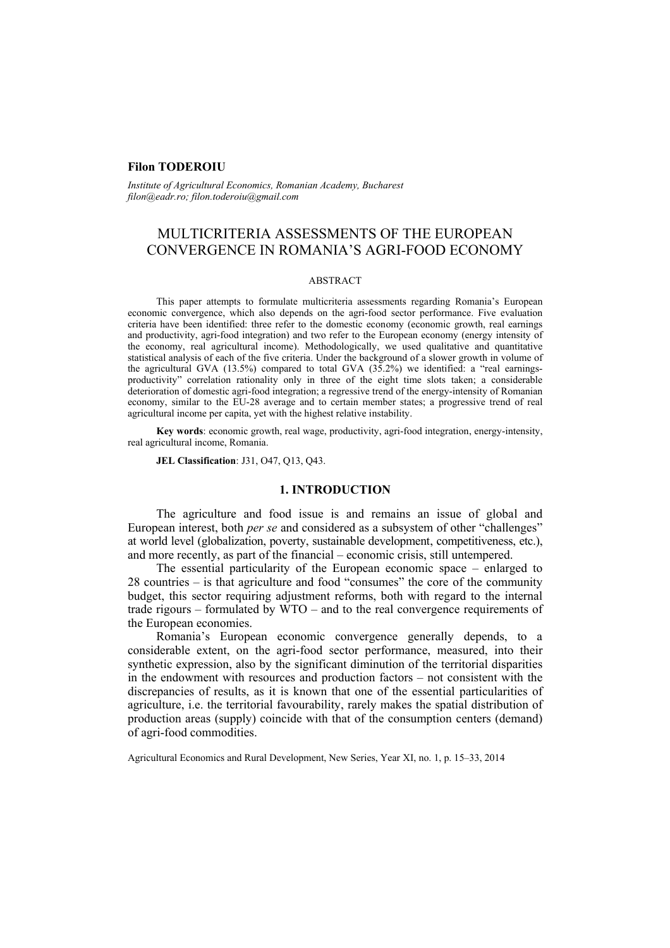# **Filon TODEROIU**

*Institute of Agricultural Economics, Romanian Academy, Bucharest filon@eadr.ro; filon.toderoiu@gmail.com* 

# MULTICRITERIA ASSESSMENTS OF THE EUROPEAN CONVERGENCE IN ROMANIA'S AGRI-FOOD ECONOMY

### ABSTRACT

This paper attempts to formulate multicriteria assessments regarding Romania's European economic convergence, which also depends on the agri-food sector performance. Five evaluation criteria have been identified: three refer to the domestic economy (economic growth, real earnings and productivity, agri-food integration) and two refer to the European economy (energy intensity of the economy, real agricultural income). Methodologically, we used qualitative and quantitative statistical analysis of each of the five criteria. Under the background of a slower growth in volume of the agricultural GVA  $(13.5%)$  compared to total GVA  $(35.2%)$  we identified: a "real earningsproductivity" correlation rationality only in three of the eight time slots taken; a considerable deterioration of domestic agri-food integration; a regressive trend of the energy-intensity of Romanian economy, similar to the EU-28 average and to certain member states; a progressive trend of real agricultural income per capita, yet with the highest relative instability.

**Key words**: economic growth, real wage, productivity, agri-food integration, energy-intensity, real agricultural income, Romania.

**JEL Classification**: J31, O47, Q13, Q43.

### **1. INTRODUCTION**

The agriculture and food issue is and remains an issue of global and European interest, both *per se* and considered as a subsystem of other "challenges" at world level (globalization, poverty, sustainable development, competitiveness, etc.), and more recently, as part of the financial – economic crisis, still untempered.

The essential particularity of the European economic space – enlarged to 28 countries – is that agriculture and food "consumes" the core of the community budget, this sector requiring adjustment reforms, both with regard to the internal trade rigours – formulated by WTO – and to the real convergence requirements of the European economies.

Romania's European economic convergence generally depends, to a considerable extent, on the agri-food sector performance, measured, into their synthetic expression, also by the significant diminution of the territorial disparities in the endowment with resources and production factors – not consistent with the discrepancies of results, as it is known that one of the essential particularities of agriculture, i.e. the territorial favourability, rarely makes the spatial distribution of production areas (supply) coincide with that of the consumption centers (demand) of agri-food commodities.

Agricultural Economics and Rural Development, New Series, Year XI, no. 1, p. 15–33, 2014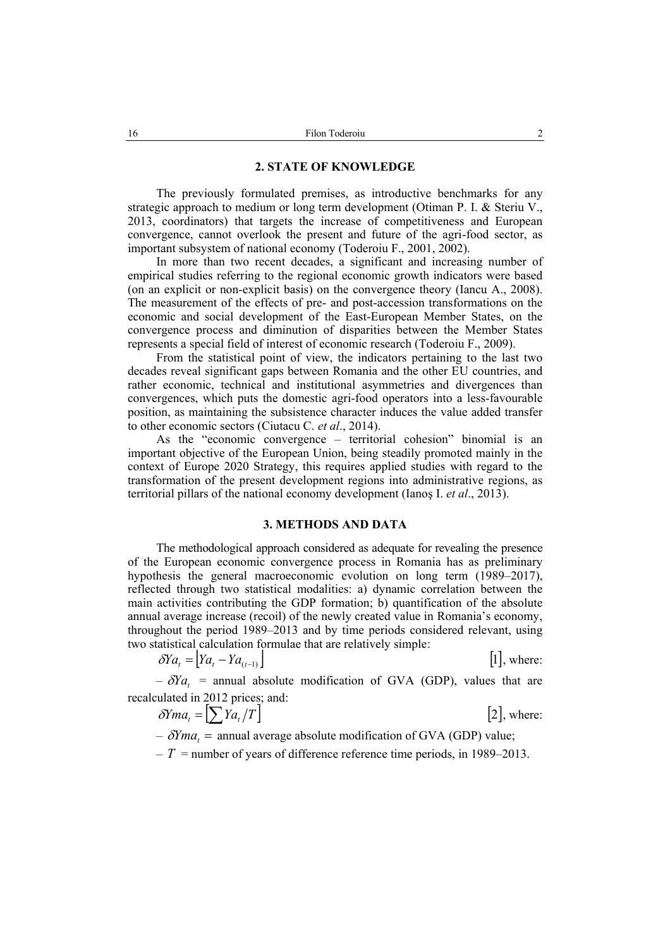### **2. STATE OF KNOWLEDGE**

The previously formulated premises, as introductive benchmarks for any strategic approach to medium or long term development (Otiman P. I. & Steriu V., 2013, coordinators) that targets the increase of competitiveness and European convergence, cannot overlook the present and future of the agri-food sector, as important subsystem of national economy (Toderoiu F., 2001, 2002).

In more than two recent decades, a significant and increasing number of empirical studies referring to the regional economic growth indicators were based (on an explicit or non-explicit basis) on the convergence theory (Iancu A., 2008). The measurement of the effects of pre- and post-accession transformations on the economic and social development of the East-European Member States, on the convergence process and diminution of disparities between the Member States represents a special field of interest of economic research (Toderoiu F., 2009).

From the statistical point of view, the indicators pertaining to the last two decades reveal significant gaps between Romania and the other EU countries, and rather economic, technical and institutional asymmetries and divergences than convergences, which puts the domestic agri-food operators into a less-favourable position, as maintaining the subsistence character induces the value added transfer to other economic sectors (Ciutacu C. *et al*., 2014).

As the "economic convergence – territorial cohesion" binomial is an important objective of the European Union, being steadily promoted mainly in the context of Europe 2020 Strategy, this requires applied studies with regard to the transformation of the present development regions into administrative regions, as territorial pillars of the national economy development (Ianoş I. *et al*., 2013).

### **3. METHODS AND DATA**

The methodological approach considered as adequate for revealing the presence of the European economic convergence process in Romania has as preliminary hypothesis the general macroeconomic evolution on long term (1989–2017), reflected through two statistical modalities: a) dynamic correlation between the main activities contributing the GDP formation; b) quantification of the absolute annual average increase (recoil) of the newly created value in Romania's economy, throughout the period 1989–2013 and by time periods considered relevant, using two statistical calculation formulae that are relatively simple:

$$
\delta Y a_{t} = [Y a_{t} - Y a_{(t-1)}]
$$
 [1], where:

 $-\delta Ya_t$  = annual absolute modification of GVA (GDP), values that are recalculated in 2012 prices; and:

$$
\delta Yma_t = \left[\sum Ya_t/T\right]
$$
 [2], where:

 $-\delta Yma =$  annual average absolute modification of GVA (GDP) value;

 $-T$  = number of years of difference reference time periods, in 1989–2013.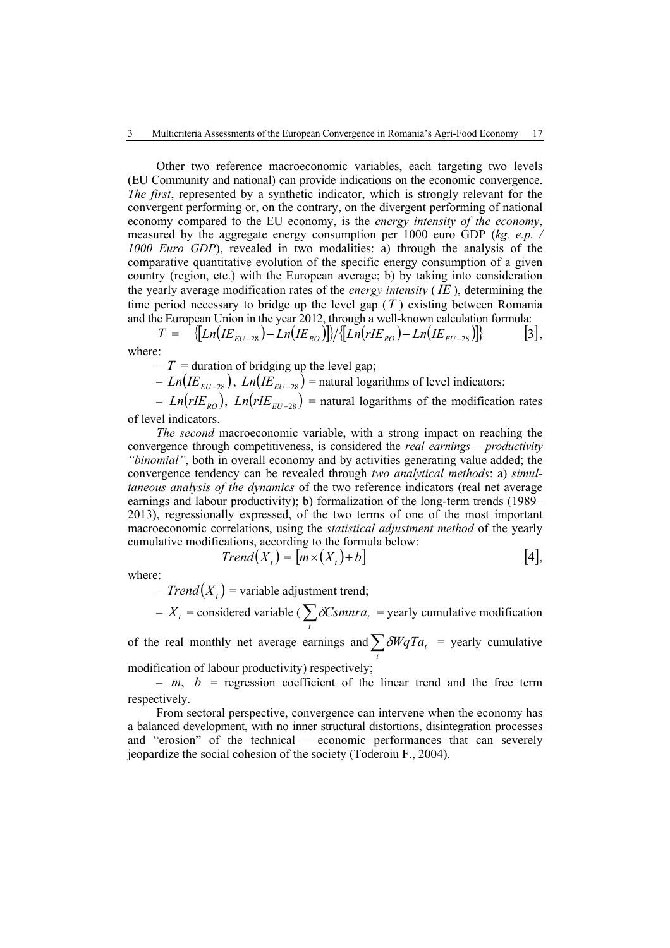Other two reference macroeconomic variables, each targeting two levels (EU Community and national) can provide indications on the economic convergence. *The first*, represented by a synthetic indicator, which is strongly relevant for the convergent performing or, on the contrary, on the divergent performing of national economy compared to the EU economy, is the *energy intensity of the economy*, measured by the aggregate energy consumption per 1000 euro GDP (*kg. e.p. / 1000 Euro GDP*), revealed in two modalities: a) through the analysis of the comparative quantitative evolution of the specific energy consumption of a given country (region, etc.) with the European average; b) by taking into consideration the yearly average modification rates of the *energy intensity* ( *IE* ), determining the time period necessary to bridge up the level gap (*T* ) existing between Romania and the European Union in the year 2012, through a well-known calculation formula:

$$
T = \{[Ln(IE_{EU-28}) - Ln(IE_{RO})]\} / \{[Ln(rIE_{RO}) - Ln(IE_{EU-28})]\} \qquad [3],
$$
  
where:

 $-T =$  duration of bridging up the level gap;

 $-Ln(E_{EU-28})$ ,  $Ln(E_{EU-28})$  = natural logarithms of level indicators;

 $-Ln(rIE_{RO})$ ,  $Ln(rIE_{EU-28})$  = natural logarithms of the modification rates of level indicators.

*The second* macroeconomic variable, with a strong impact on reaching the convergence through competitiveness, is considered the *real earnings – productivity "binomial"*, both in overall economy and by activities generating value added; the convergence tendency can be revealed through *two analytical methods*: a) *simultaneous analysis of the dynamics* of the two reference indicators (real net average earnings and labour productivity); b) formalization of the long-term trends (1989– 2013), regressionally expressed, of the two terms of one of the most important macroeconomic correlations, using the *statistical adjustment method* of the yearly cumulative modifications, according to the formula below:

$$
Trend(Xt) = [m \times (Xt) + b]
$$
 [4],

where:

 $- Trend(X<sub>t</sub>)$  = variable adjustment trend;

 $-X_t$  = considered variable ( $\sum_t \delta \text{C} \text{smn} \cdot \text{z}$  = yearly cumulative modification

of the real monthly net average earnings and  $\sum_{t} \delta W q T a_t$  = yearly cumulative

modification of labour productivity) respectively;

 $- m$ ,  $b =$  regression coefficient of the linear trend and the free term respectively.

From sectoral perspective, convergence can intervene when the economy has a balanced development, with no inner structural distortions, disintegration processes and "erosion" of the technical – economic performances that can severely jeopardize the social cohesion of the society (Toderoiu F., 2004).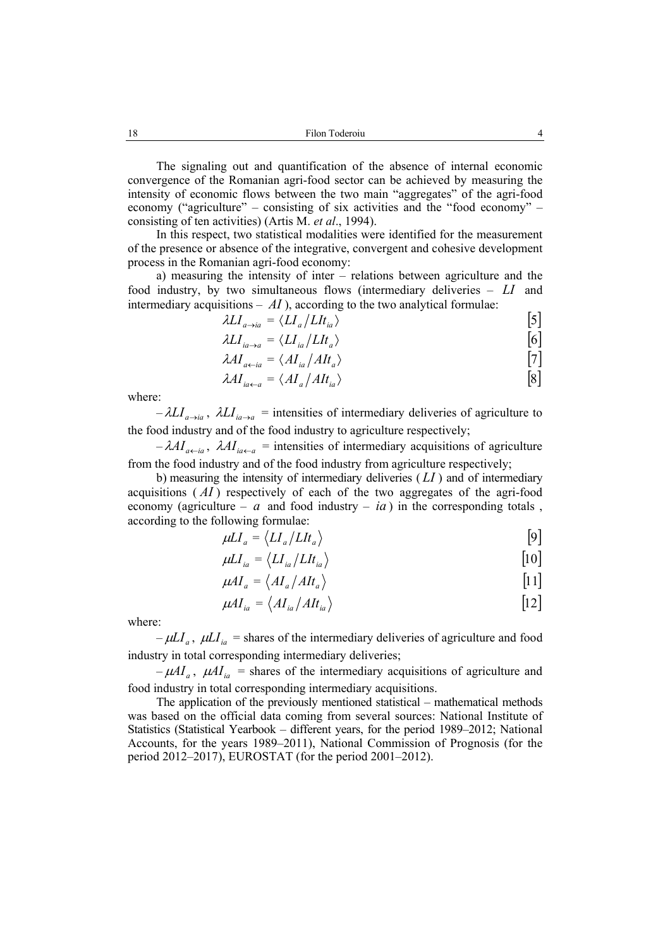The signaling out and quantification of the absence of internal economic convergence of the Romanian agri-food sector can be achieved by measuring the intensity of economic flows between the two main "aggregates" of the agri-food economy ("agriculture" – consisting of six activities and the "food economy" – consisting of ten activities) (Artis M. *et al*., 1994).

In this respect, two statistical modalities were identified for the measurement of the presence or absence of the integrative, convergent and cohesive development process in the Romanian agri-food economy:

a) measuring the intensity of inter – relations between agriculture and the food industry, by two simultaneous flows (intermediary deliveries – *LI* and intermediary acquisitions  $- AI$ ), according to the two analytical formulae:

$$
\lambda L I_{a \to ia} = \langle L I_a / L I t_{ia} \rangle \tag{5}
$$

$$
\lambda L I_{ia \to a} = \langle L I_{ia} / L I t_a \rangle \tag{6}
$$

$$
\lambda A I_{a \leftarrow ia} = \langle A I_{ia} / A I t_a \rangle \tag{7}
$$

$$
\lambda A I_{ia \leftarrow a} = \langle A I_a / A I t_{ia} \rangle \tag{8}
$$

where:

 $-\lambda L I_{a\to i}$ ,  $\lambda L I_{i a\to a}$  = intensities of intermediary deliveries of agriculture to the food industry and of the food industry to agriculture respectively;

 $-\lambda A I_{a \leftarrow a}$ ,  $\lambda A I_{a \leftarrow a}$  = intensities of intermediary acquisitions of agriculture from the food industry and of the food industry from agriculture respectively;

b) measuring the intensity of intermediary deliveries ( *LI* ) and of intermediary acquisitions ( *AI* ) respectively of each of the two aggregates of the agri-food economy (agriculture –  $a$  and food industry –  $ia$ ) in the corresponding totals, according to the following formulae:

$$
\mu L I_a = \langle L I_a / L I t_a \rangle \tag{9}
$$

$$
\mu L I_{ia} = \langle L I_{ia} / L I t_{ia} \rangle \tag{10}
$$

$$
\mu A I_a = \langle A I_a / A I t_a \rangle \tag{11}
$$

$$
\mu A I_{ia} = \langle A I_{ia} / A I t_{ia} \rangle \tag{12}
$$

where:

 $-\mu L I_a$ ,  $\mu L I_{ia}$  = shares of the intermediary deliveries of agriculture and food industry in total corresponding intermediary deliveries;

 $-\mu A I_a$ ,  $\mu A I_{ia}$  = shares of the intermediary acquisitions of agriculture and food industry in total corresponding intermediary acquisitions.

The application of the previously mentioned statistical – mathematical methods was based on the official data coming from several sources: National Institute of Statistics (Statistical Yearbook – different years, for the period 1989–2012; National Accounts, for the years 1989–2011), National Commission of Prognosis (for the period 2012–2017), EUROSTAT (for the period 2001–2012).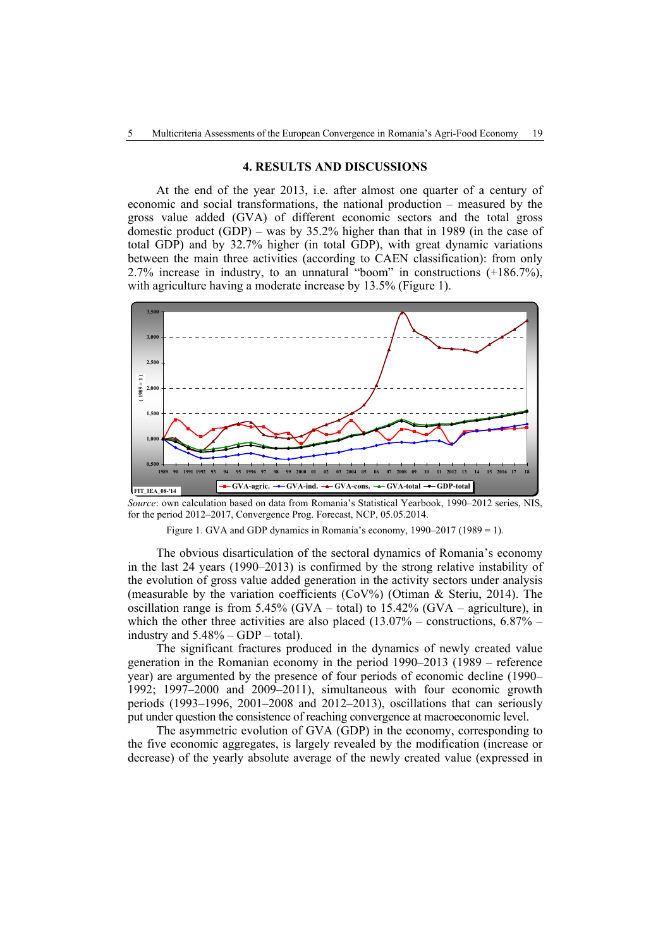#### **4. RESULTS AND DISCUSSIONS**

At the end of the year 2013, i.e. after almost one quarter of a century of economic and social transformations, the national production – measured by the gross value added (GVA) of different economic sectors and the total gross domestic product (GDP) – was by 35.2% higher than that in 1989 (in the case of total GDP) and by 32.7% higher (in total GDP), with great dynamic variations between the main three activities (according to CAEN classification): from only 2.7% increase in industry, to an unnatural "boom" in constructions (+186.7%), with agriculture having a moderate increase by 13.5% (Figure 1).



*Source*: own calculation based on data from Romania's Statistical Yearbook, 1990–2012 series, NIS, for the period 2012–2017, Convergence Prog. Forecast, NCP, 05.05.2014.

Figure 1. GVA and GDP dynamics in Romania's economy, 1990–2017 (1989 = 1).

The obvious disarticulation of the sectoral dynamics of Romania's economy in the last 24 years (1990–2013) is confirmed by the strong relative instability of the evolution of gross value added generation in the activity sectors under analysis (measurable by the variation coefficients (CoV%) (Otiman & Steriu, 2014). The oscillation range is from 5.45% (GVA – total) to  $15.42\%$  (GVA – agriculture), in which the other three activities are also placed  $(13.07% -$  constructions,  $6.87%$ industry and  $5.48\%$  – GDP – total).

The significant fractures produced in the dynamics of newly created value generation in the Romanian economy in the period 1990–2013 (1989 – reference year) are argumented by the presence of four periods of economic decline (1990– 1992; 1997–2000 and 2009–2011), simultaneous with four economic growth periods (1993–1996, 2001–2008 and 2012–2013), oscillations that can seriously put under question the consistence of reaching convergence at macroeconomic level.

The asymmetric evolution of GVA (GDP) in the economy, corresponding to the five economic aggregates, is largely revealed by the modification (increase or decrease) of the yearly absolute average of the newly created value (expressed in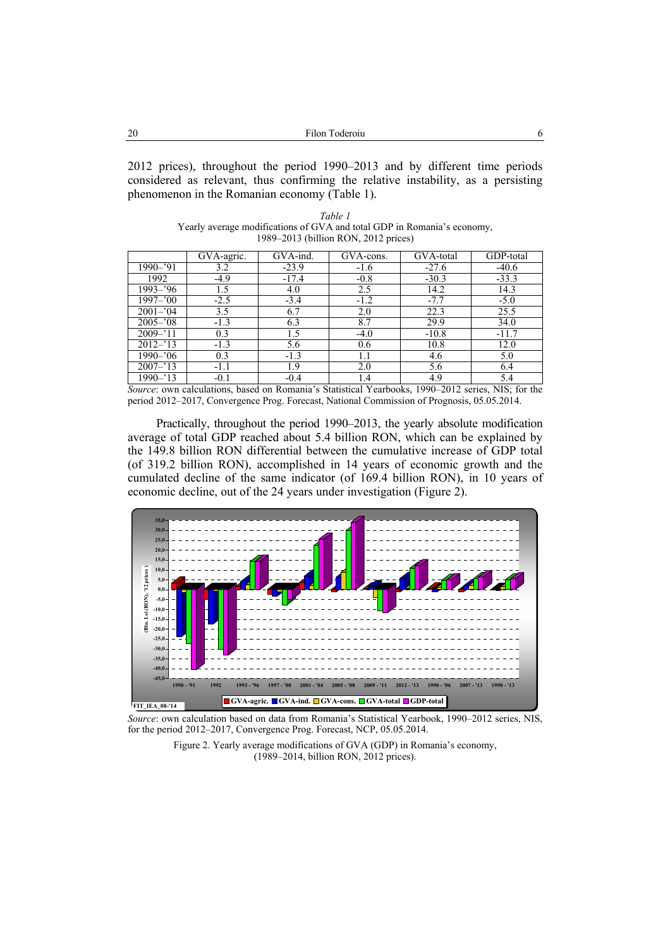2012 prices), throughout the period 1990–2013 and by different time periods considered as relevant, thus confirming the relative instability, as a persisting phenomenon in the Romanian economy (Table 1).

| Table 1                                                                 |  |  |  |  |
|-------------------------------------------------------------------------|--|--|--|--|
| Yearly average modifications of GVA and total GDP in Romania's economy, |  |  |  |  |
| 1989–2013 (billion RON, 2012 prices)                                    |  |  |  |  |

|             | GVA-agric. | GVA-ind. | GVA-cons.<br>GVA-total |         | GDP-total |
|-------------|------------|----------|------------------------|---------|-----------|
| 1990-'91    | 3.2        | $-23.9$  | $-1.6$                 | $-27.6$ | $-40.6$   |
| 1992        | $-4.9$     | $-17.4$  | $-0.8$                 | $-30.3$ | $-33.3$   |
| 1993–'96    | 1.5        | 4.0      | 2.5                    | 14.2    | 14.3      |
| 1997–'00    | $-2.5$     | $-3.4$   | $-1.2$                 | $-7.7$  | $-5.0$    |
| $2001 - 04$ | 3.5        | 6.7      | 2.0                    | 22.3    | 25.5      |
| $2005 - 08$ | $-1.3$     | 6.3      | 8.7                    | 29.9    | 34.0      |
| $2009 - 11$ | 0.3        | 1.5      | $-4.0$                 | $-10.8$ | $-11.7$   |
| $2012 - 13$ | $-1.3$     | 5.6      | 0.6                    | 10.8    | 12.0      |
| 1990–'06    | 0.3        | $-1.3$   | 1.1                    | 4.6     | 5.0       |
| $2007 - 13$ | $-1.1$     | 1.9      | 2.0                    | 5.6     | 6.4       |
| 1990–'13    | $-0.1$     | $-0.4$   | 1.4                    | 4.9     | 5.4       |

*Source*: own calculations, based on Romania's Statistical Yearbooks, 1990–2012 series, NIS; for the period 2012–2017, Convergence Prog. Forecast, National Commission of Prognosis, 05.05.2014.

Practically, throughout the period 1990–2013, the yearly absolute modification average of total GDP reached about 5.4 billion RON, which can be explained by the 149.8 billion RON differential between the cumulative increase of GDP total (of 319.2 billion RON), accomplished in 14 years of economic growth and the cumulated decline of the same indicator (of 169.4 billion RON), in 10 years of economic decline, out of the 24 years under investigation (Figure 2).



*Source*: own calculation based on data from Romania's Statistical Yearbook, 1990–2012 series, NIS, for the period 2012–2017, Convergence Prog. Forecast, NCP, 05.05.2014.

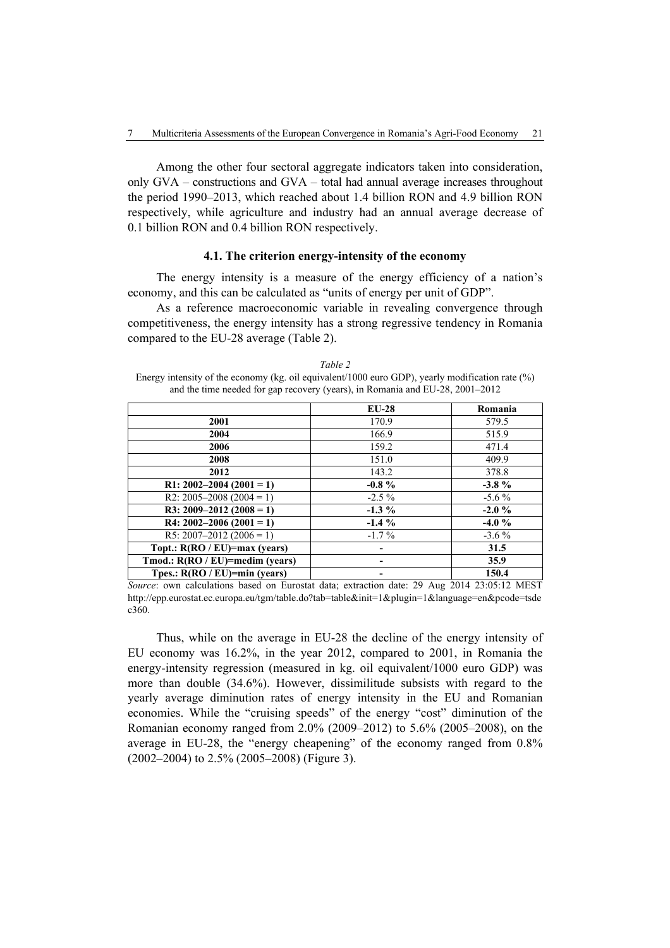Among the other four sectoral aggregate indicators taken into consideration, only GVA – constructions and GVA – total had annual average increases throughout the period 1990–2013, which reached about 1.4 billion RON and 4.9 billion RON respectively, while agriculture and industry had an annual average decrease of 0.1 billion RON and 0.4 billion RON respectively.

### **4.1. The criterion energy-intensity of the economy**

The energy intensity is a measure of the energy efficiency of a nation's economy, and this can be calculated as "units of energy per unit of GDP".

As a reference macroeconomic variable in revealing convergence through competitiveness, the energy intensity has a strong regressive tendency in Romania compared to the EU-28 average (Table 2).

*Table 2*  Energy intensity of the economy (kg. oil equivalent/1000 euro GDP), yearly modification rate (%) and the time needed for gap recovery (years), in Romania and EU-28, 2001–2012

|                                    | <b>EU-28</b> | Romania   |
|------------------------------------|--------------|-----------|
| 2001                               | 170.9        | 579.5     |
| 2004                               | 166.9        | 515.9     |
| 2006                               | 159.2        | 471.4     |
| 2008                               | 151.0        | 409.9     |
| 2012                               | 143.2        | 378.8     |
| R1: 2002-2004 (2001 = 1)           | $-0.8 \%$    | $-3.8\%$  |
| R2: 2005–2008 (2004 = 1)           | $-2.5\%$     | $-5.6\%$  |
| R3: 2009-2012 (2008 = 1)           | $-1.3\%$     | $-2.0 \%$ |
| R4: $2002 - 2006(2001 = 1)$        | $-1.4\%$     | $-4.0%$   |
| R5: 2007-2012 (2006 = 1)           | $-1.7\%$     | $-3.6\%$  |
| Topt.: R(RO / EU)=max (years)      |              | 31.5      |
| Tmod.: $R(RO / EU)=median (years)$ |              | 35.9      |
| Tpes.: $R(RO / EU)=min (years)$    |              | 150.4     |

*Source*: own calculations based on Eurostat data; extraction date: 29 Aug 2014 23:05:12 MEST http://epp.eurostat.ec.europa.eu/tgm/table.do?tab=table&init=1&plugin=1&language=en&pcode=tsde c360.

Thus, while on the average in EU-28 the decline of the energy intensity of EU economy was 16.2%, in the year 2012, compared to 2001, in Romania the energy-intensity regression (measured in kg. oil equivalent/1000 euro GDP) was more than double (34.6%). However, dissimilitude subsists with regard to the yearly average diminution rates of energy intensity in the EU and Romanian economies. While the "cruising speeds" of the energy "cost" diminution of the Romanian economy ranged from 2.0% (2009–2012) to 5.6% (2005–2008), on the average in EU-28, the "energy cheapening" of the economy ranged from 0.8% (2002–2004) to 2.5% (2005–2008) (Figure 3).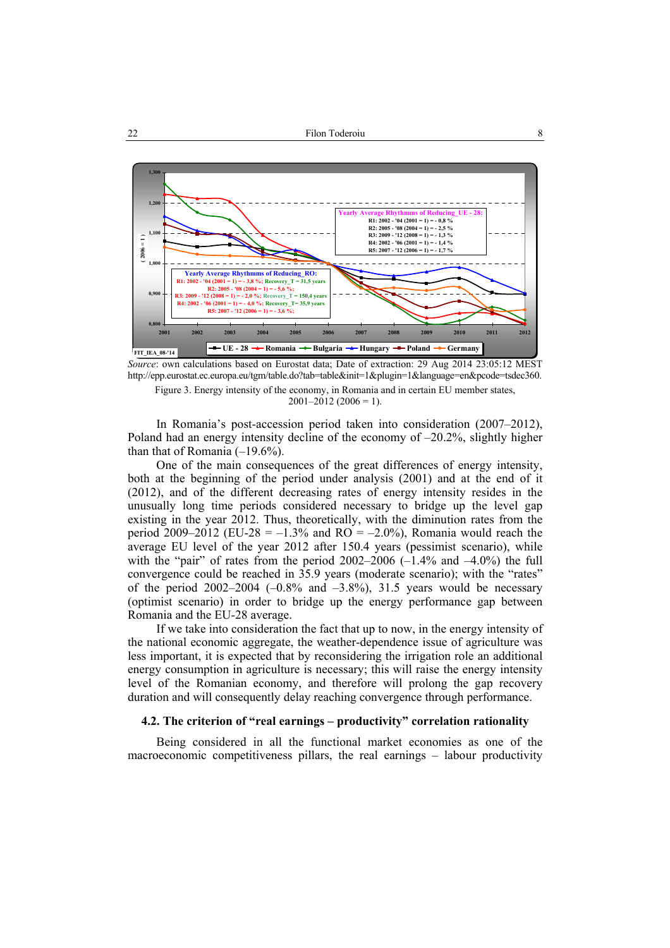

*Source*: own calculations based on Eurostat data; Date of extraction: 29 Aug 2014 23:05:12 MEST http://epp.eurostat.ec.europa.eu/tgm/table.do?tab=table&init=1&plugin=1&language=en&pcode=tsdec360.

Figure 3. Energy intensity of the economy, in Romania and in certain EU member states,

 $2001-2012(2006=1)$ .

In Romania's post-accession period taken into consideration (2007–2012), Poland had an energy intensity decline of the economy of –20.2%, slightly higher than that of Romania  $(-19.6\%)$ .

One of the main consequences of the great differences of energy intensity, both at the beginning of the period under analysis (2001) and at the end of it (2012), and of the different decreasing rates of energy intensity resides in the unusually long time periods considered necessary to bridge up the level gap existing in the year 2012. Thus, theoretically, with the diminution rates from the period 2009–2012 (EU-28 =  $-1.3\%$  and RO =  $-2.0\%$ ), Romania would reach the average EU level of the year 2012 after 150.4 years (pessimist scenario), while with the "pair" of rates from the period  $2002-2006$  ( $-1.4\%$  and  $-4.0\%$ ) the full convergence could be reached in 35.9 years (moderate scenario); with the "rates" of the period  $2002-2004$  ( $-0.8\%$  and  $-3.8\%$ ), 31.5 years would be necessary (optimist scenario) in order to bridge up the energy performance gap between Romania and the EU-28 average.

If we take into consideration the fact that up to now, in the energy intensity of the national economic aggregate, the weather-dependence issue of agriculture was less important, it is expected that by reconsidering the irrigation role an additional energy consumption in agriculture is necessary; this will raise the energy intensity level of the Romanian economy, and therefore will prolong the gap recovery duration and will consequently delay reaching convergence through performance.

# **4.2. The criterion of "real earnings – productivity" correlation rationality**

Being considered in all the functional market economies as one of the macroeconomic competitiveness pillars, the real earnings – labour productivity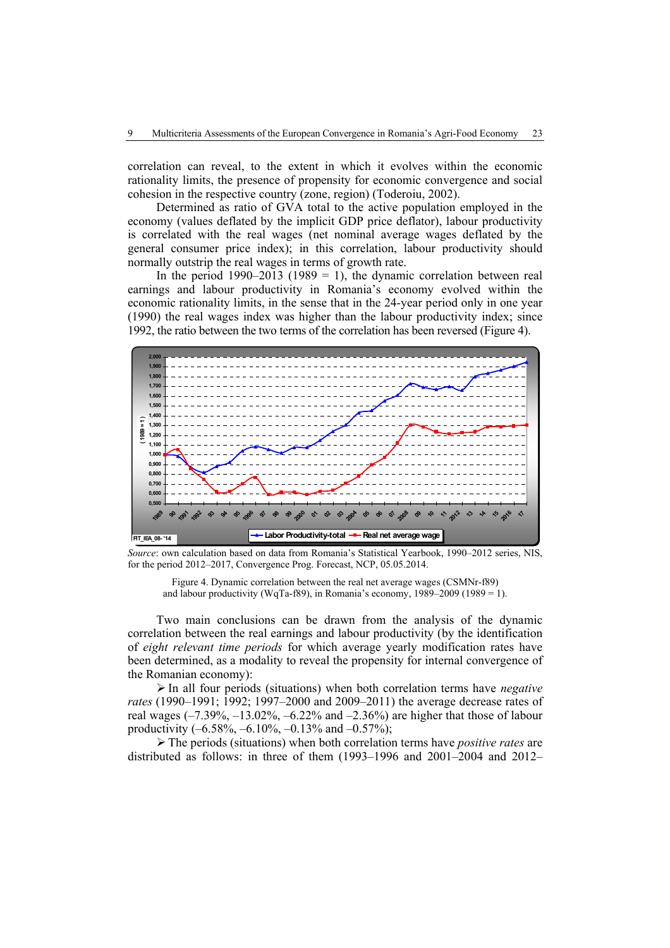correlation can reveal, to the extent in which it evolves within the economic rationality limits, the presence of propensity for economic convergence and social cohesion in the respective country (zone, region) (Toderoiu, 2002).

Determined as ratio of GVA total to the active population employed in the economy (values deflated by the implicit GDP price deflator), labour productivity is correlated with the real wages (net nominal average wages deflated by the general consumer price index); in this correlation, labour productivity should normally outstrip the real wages in terms of growth rate.

In the period  $1990-2013$  ( $1989 = 1$ ), the dynamic correlation between real earnings and labour productivity in Romania's economy evolved within the economic rationality limits, in the sense that in the 24-year period only in one year (1990) the real wages index was higher than the labour productivity index; since 1992, the ratio between the two terms of the correlation has been reversed (Figure 4).



*Source*: own calculation based on data from Romania's Statistical Yearbook, 1990–2012 series, NIS, for the period 2012–2017, Convergence Prog. Forecast, NCP, 05.05.2014.

Figure 4. Dynamic correlation between the real net average wages (CSMNr-f89) and labour productivity (WqTa-f89), in Romania's economy,  $1989-2009$  ( $1989 = 1$ ).

Two main conclusions can be drawn from the analysis of the dynamic correlation between the real earnings and labour productivity (by the identification of *eight relevant time periods* for which average yearly modification rates have been determined, as a modality to reveal the propensity for internal convergence of the Romanian economy):

¾ In all four periods (situations) when both correlation terms have *negative rates* (1990–1991; 1992; 1997–2000 and 2009–2011) the average decrease rates of real wages  $(-7.39\%, -13.02\%, -6.22\% \text{ and } -2.36\%)$  are higher that those of labour productivity  $(-6.58\%, -6.10\%, -0.13\% \text{ and } -0.57\%);$ 

¾ The periods (situations) when both correlation terms have *positive rates* are distributed as follows: in three of them (1993–1996 and 2001–2004 and 2012–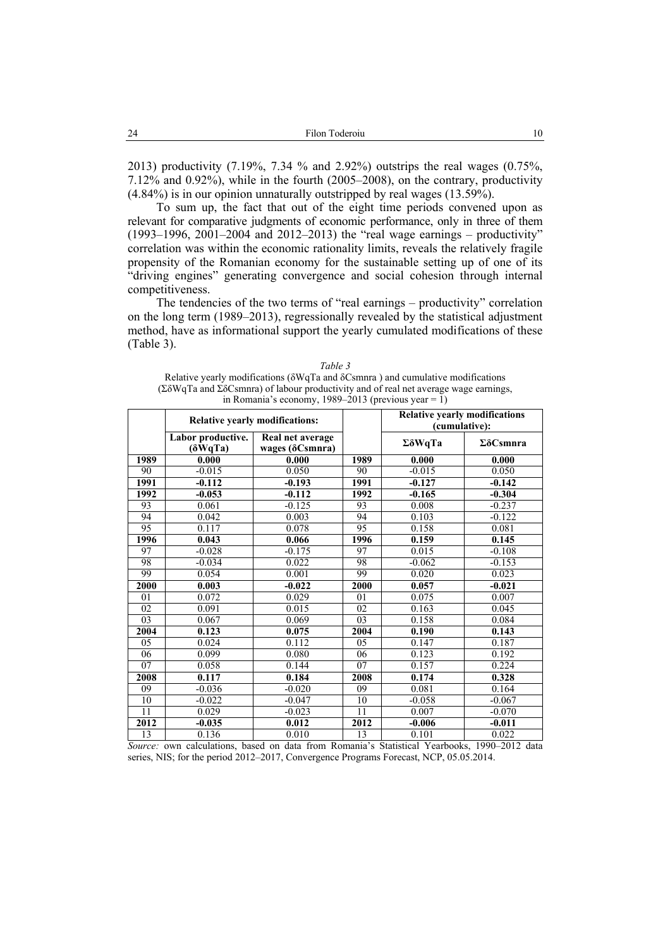2013) productivity (7.19%, 7.34 % and 2.92%) outstrips the real wages (0.75%, 7.12% and 0.92%), while in the fourth (2005–2008), on the contrary, productivity  $(4.84\%)$  is in our opinion unnaturally outstripped by real wages  $(13.59\%)$ .

To sum up, the fact that out of the eight time periods convened upon as relevant for comparative judgments of economic performance, only in three of them (1993–1996, 2001–2004 and 2012–2013) the "real wage earnings – productivity" correlation was within the economic rationality limits, reveals the relatively fragile propensity of the Romanian economy for the sustainable setting up of one of its "driving engines" generating convergence and social cohesion through internal competitiveness.

The tendencies of the two terms of "real earnings – productivity" correlation on the long term (1989–2013), regressionally revealed by the statistical adjustment method, have as informational support the yearly cumulated modifications of these (Table 3).

| in Romania s economy, $1989-2013$ (previous year = 1) |                                       |                                             |                                                       |                         |                        |
|-------------------------------------------------------|---------------------------------------|---------------------------------------------|-------------------------------------------------------|-------------------------|------------------------|
|                                                       | <b>Relative yearly modifications:</b> |                                             | <b>Relative yearly modifications</b><br>(cumulative): |                         |                        |
|                                                       | Labor productive.<br>$(\delta WqTa)$  | Real net average<br>wages $(\delta$ Csmnra) |                                                       | $\Sigma \delta W q T a$ | $\Sigma \delta$ Csmnra |
| 1989                                                  | 0.000                                 | 0.000                                       | 1989                                                  | 0.000                   | 0.000                  |
| 90                                                    | $-0.015$                              | 0.050                                       | 90                                                    | $-0.015$                | 0.050                  |
| 1991                                                  | $-0.112$                              | $-0.193$                                    | 1991                                                  | $-0.127$                | $-0.142$               |
| 1992                                                  | $-0.053$                              | $-0.112$                                    | 1992                                                  | $-0.165$                | $-0.304$               |
| 93                                                    | 0.061                                 | $-0.125$                                    | 93                                                    | 0.008                   | $-0.237$               |
| $\overline{94}$                                       | 0.042                                 | 0.003                                       | 94                                                    | 0.103                   | $-0.122$               |
| $\overline{95}$                                       | 0.117                                 | 0.078                                       | 95                                                    | 0.158                   | 0.081                  |
| 1996                                                  | 0.043                                 | 0.066                                       | 1996                                                  | 0.159                   | 0.145                  |
| 97                                                    | $-0.028$                              | $-0.175$                                    | 97                                                    | 0.015                   | $-0.108$               |
| 98                                                    | $-0.034$                              | 0.022                                       | 98                                                    | $-0.062$                | $-0.153$               |
| 99                                                    | 0.054                                 | 0.001                                       | 99                                                    | 0.020                   | 0.023                  |
| $\overline{2000}$                                     | 0.003                                 | $-0.022$                                    | 2000                                                  | 0.057                   | $-0.021$               |
| 01                                                    | 0.072                                 | 0.029                                       | 01                                                    | 0.075                   | 0.007                  |
| 02                                                    | 0.091                                 | 0.015                                       | 02                                                    | 0.163                   | 0.045                  |
| 03                                                    | 0.067                                 | 0.069                                       | 03                                                    | 0.158                   | 0.084                  |
| $200\overline{4}$                                     | 0.123                                 | 0.075                                       | 2004                                                  | 0.190                   | 0.143                  |
| 05                                                    | 0.024                                 | 0.112                                       | 05                                                    | 0.147                   | 0.187                  |
| 06                                                    | 0.099                                 | 0.080                                       | 06                                                    | 0.123                   | 0.192                  |
| 07                                                    | 0.058                                 | 0.144                                       | 07                                                    | 0.157                   | 0.224                  |
| 2008                                                  | 0.117                                 | 0.184                                       | 2008                                                  | 0.174                   | 0.328                  |
| 09                                                    | $-0.036$                              | $-0.020$                                    | 09                                                    | 0.081                   | 0.164                  |
| 10                                                    | $-0.022$                              | $-0.047$                                    | 10                                                    | $-0.058$                | $-0.067$               |
| $\overline{11}$                                       | 0.029                                 | $-0.023$                                    | 11                                                    | 0.007                   | $-0.070$               |
| 2012                                                  | $-0.035$                              | 0.012                                       | 2012                                                  | $-0.006$                | $-0.011$               |
| 13                                                    | 0.136                                 | 0.010                                       | 13                                                    | 0.101                   | 0.022                  |

*Table 3*  Relative yearly modifications (δWqTa and δCsmnra ) and cumulative modifications (ΣδWqTa and ΣδCsmnra) of labour productivity and of real net average wage earnings, in Romania's economy, 1989–2013 (previous year = 1)

*Source:* own calculations, based on data from Romania's Statistical Yearbooks, 1990–2012 data series, NIS; for the period 2012–2017, Convergence Programs Forecast, NCP, 05.05.2014.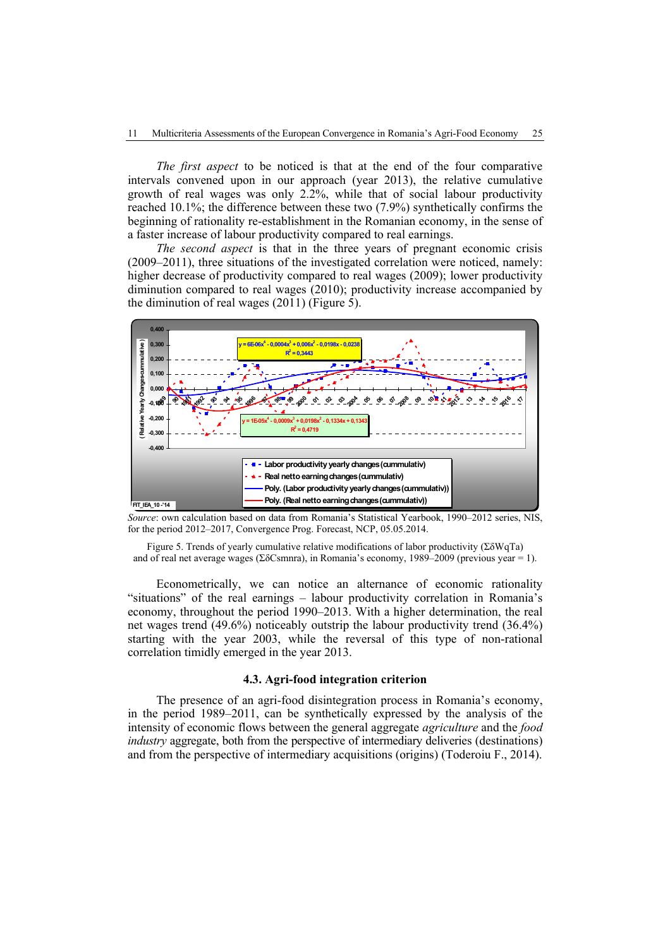*The first aspect* to be noticed is that at the end of the four comparative intervals convened upon in our approach (year 2013), the relative cumulative growth of real wages was only 2.2%, while that of social labour productivity reached 10.1%; the difference between these two (7.9%) synthetically confirms the beginning of rationality re-establishment in the Romanian economy, in the sense of a faster increase of labour productivity compared to real earnings.

*The second aspect* is that in the three years of pregnant economic crisis (2009–2011), three situations of the investigated correlation were noticed, namely: higher decrease of productivity compared to real wages (2009); lower productivity diminution compared to real wages (2010); productivity increase accompanied by the diminution of real wages (2011) (Figure 5).



*Source*: own calculation based on data from Romania's Statistical Yearbook, 1990–2012 series, NIS, for the period 2012–2017, Convergence Prog. Forecast, NCP, 05.05.2014.

Figure 5. Trends of yearly cumulative relative modifications of labor productivity (ΣδWqTa) and of real net average wages (ΣδCsmnra), in Romania's economy, 1989–2009 (previous year = 1).

Econometrically, we can notice an alternance of economic rationality "situations" of the real earnings – labour productivity correlation in Romania's economy, throughout the period 1990–2013. With a higher determination, the real net wages trend (49.6%) noticeably outstrip the labour productivity trend (36.4%) starting with the year 2003, while the reversal of this type of non-rational correlation timidly emerged in the year 2013.

#### **4.3. Agri-food integration criterion**

The presence of an agri-food disintegration process in Romania's economy, in the period 1989–2011, can be synthetically expressed by the analysis of the intensity of economic flows between the general aggregate *agriculture* and the *food industry* aggregate, both from the perspective of intermediary deliveries (destinations) and from the perspective of intermediary acquisitions (origins) (Toderoiu F., 2014).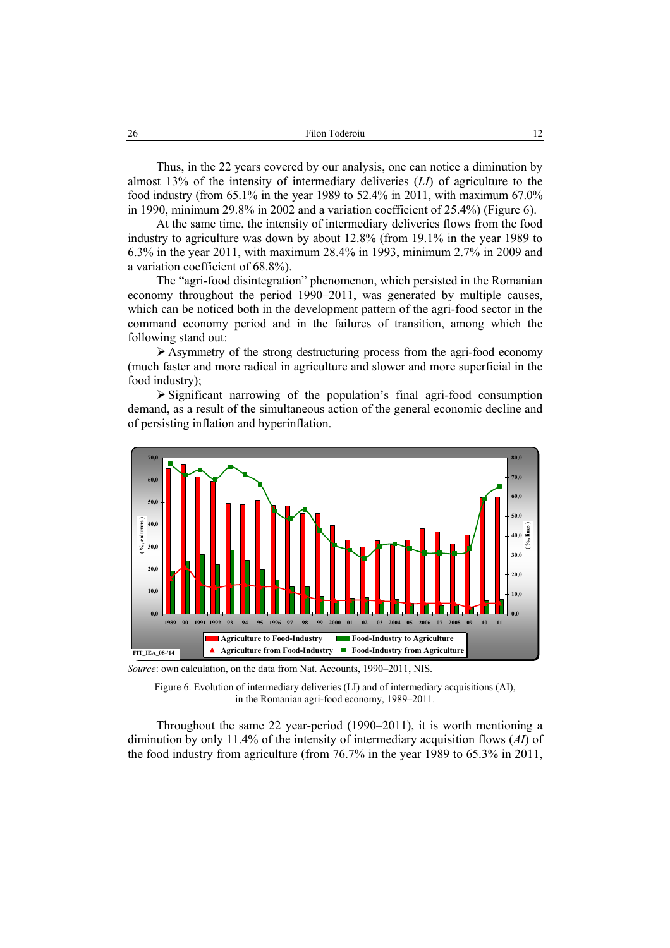Thus, in the 22 years covered by our analysis, one can notice a diminution by almost 13% of the intensity of intermediary deliveries (*LI*) of agriculture to the food industry (from  $65.1\%$  in the year 1989 to  $52.4\%$  in 2011, with maximum  $67.0\%$ in 1990, minimum 29.8% in 2002 and a variation coefficient of 25.4%) (Figure 6).

At the same time, the intensity of intermediary deliveries flows from the food industry to agriculture was down by about 12.8% (from 19.1% in the year 1989 to 6.3% in the year 2011, with maximum 28.4% in 1993, minimum 2.7% in 2009 and a variation coefficient of 68.8%).

The "agri-food disintegration" phenomenon, which persisted in the Romanian economy throughout the period 1990–2011, was generated by multiple causes, which can be noticed both in the development pattern of the agri-food sector in the command economy period and in the failures of transition, among which the following stand out:

 $\triangleright$  Asymmetry of the strong destructuring process from the agri-food economy (much faster and more radical in agriculture and slower and more superficial in the food industry);

 $\triangleright$  Significant narrowing of the population's final agri-food consumption demand, as a result of the simultaneous action of the general economic decline and of persisting inflation and hyperinflation.



*Source*: own calculation, on the data from Nat. Accounts, 1990–2011, NIS

Throughout the same 22 year-period (1990–2011), it is worth mentioning a diminution by only 11.4% of the intensity of intermediary acquisition flows (*AI*) of the food industry from agriculture (from 76.7% in the year 1989 to 65.3% in 2011,

Figure 6. Evolution of intermediary deliveries (LI) and of intermediary acquisitions (AI), in the Romanian agri-food economy, 1989–2011.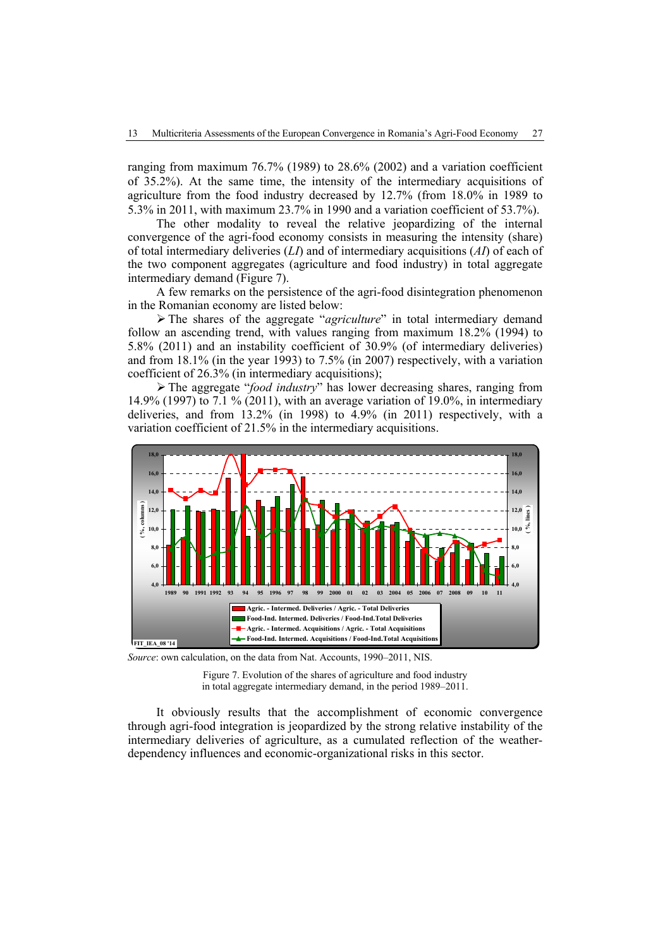ranging from maximum 76.7% (1989) to 28.6% (2002) and a variation coefficient of 35.2%). At the same time, the intensity of the intermediary acquisitions of agriculture from the food industry decreased by 12.7% (from 18.0% in 1989 to 5.3% in 2011, with maximum 23.7% in 1990 and a variation coefficient of 53.7%).

The other modality to reveal the relative jeopardizing of the internal convergence of the agri-food economy consists in measuring the intensity (share) of total intermediary deliveries (*LI*) and of intermediary acquisitions (*AI*) of each of the two component aggregates (agriculture and food industry) in total aggregate intermediary demand (Figure 7).

A few remarks on the persistence of the agri-food disintegration phenomenon in the Romanian economy are listed below:

¾ The shares of the aggregate "*agriculture*" in total intermediary demand follow an ascending trend, with values ranging from maximum 18.2% (1994) to 5.8% (2011) and an instability coefficient of 30.9% (of intermediary deliveries) and from 18.1% (in the year 1993) to 7.5% (in 2007) respectively, with a variation coefficient of 26.3% (in intermediary acquisitions);

¾ The aggregate "*food industry*" has lower decreasing shares, ranging from 14.9% (1997) to 7.1 % (2011), with an average variation of 19.0%, in intermediary deliveries, and from 13.2% (in 1998) to 4.9% (in 2011) respectively, with a variation coefficient of 21.5% in the intermediary acquisitions.



*Source*: own calculation, on the data from Nat. Accounts, 1990–2011, NIS.

Figure 7. Evolution of the shares of agriculture and food industry in total aggregate intermediary demand, in the period 1989–2011.

It obviously results that the accomplishment of economic convergence through agri-food integration is jeopardized by the strong relative instability of the intermediary deliveries of agriculture, as a cumulated reflection of the weatherdependency influences and economic-organizational risks in this sector.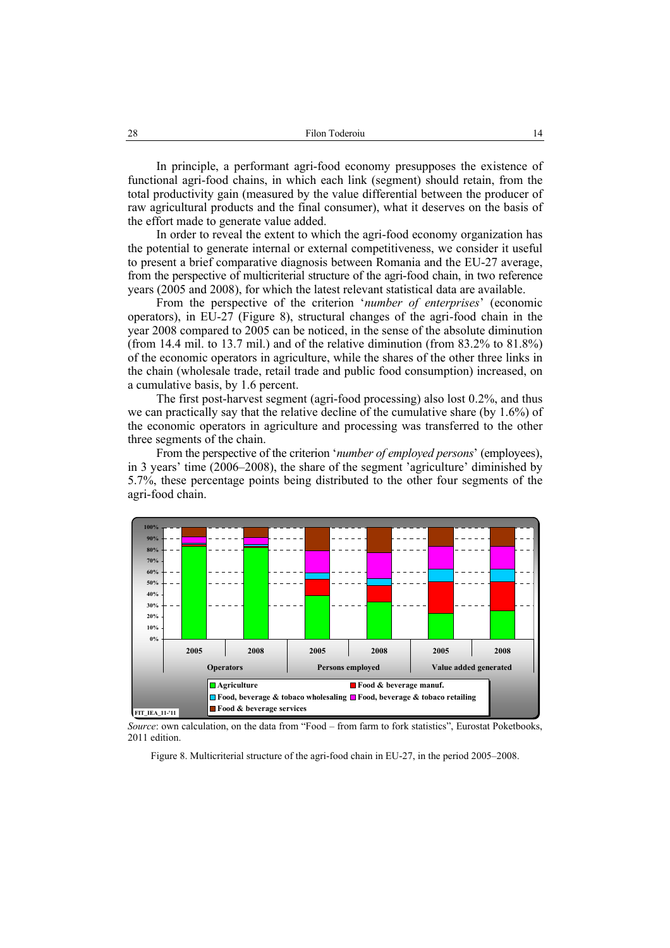In principle, a performant agri-food economy presupposes the existence of functional agri-food chains, in which each link (segment) should retain, from the total productivity gain (measured by the value differential between the producer of raw agricultural products and the final consumer), what it deserves on the basis of the effort made to generate value added.

In order to reveal the extent to which the agri-food economy organization has the potential to generate internal or external competitiveness, we consider it useful to present a brief comparative diagnosis between Romania and the EU-27 average, from the perspective of multicriterial structure of the agri-food chain, in two reference years (2005 and 2008), for which the latest relevant statistical data are available.

From the perspective of the criterion '*number of enterprises*' (economic operators), in EU-27 (Figure 8), structural changes of the agri-food chain in the year 2008 compared to 2005 can be noticed, in the sense of the absolute diminution (from 14.4 mil. to 13.7 mil.) and of the relative diminution (from 83.2% to 81.8%) of the economic operators in agriculture, while the shares of the other three links in the chain (wholesale trade, retail trade and public food consumption) increased, on a cumulative basis, by 1.6 percent.

The first post-harvest segment (agri-food processing) also lost 0.2%, and thus we can practically say that the relative decline of the cumulative share (by 1.6%) of the economic operators in agriculture and processing was transferred to the other three segments of the chain.

From the perspective of the criterion '*number of employed persons*' (employees), in 3 years' time (2006–2008), the share of the segment 'agriculture' diminished by 5.7%, these percentage points being distributed to the other four segments of the agri-food chain.



*Source*: own calculation, on the data from "Food – from farm to fork statistics", Eurostat Poketbooks, 2011 edition.

Figure 8. Multicriterial structure of the agri-food chain in EU-27, in the period 2005–2008.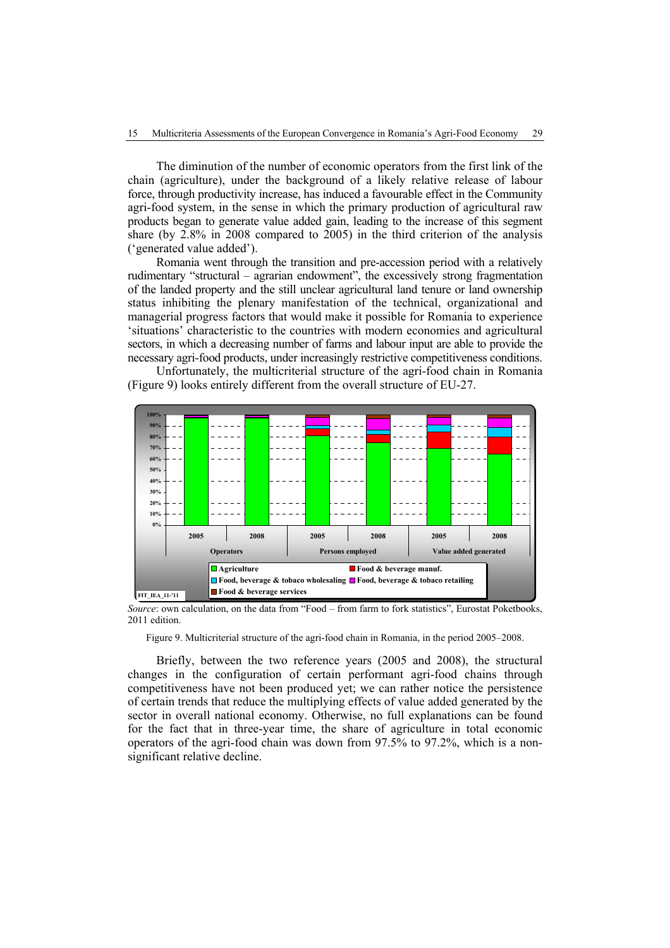The diminution of the number of economic operators from the first link of the chain (agriculture), under the background of a likely relative release of labour force, through productivity increase, has induced a favourable effect in the Community agri-food system, in the sense in which the primary production of agricultural raw products began to generate value added gain, leading to the increase of this segment share (by 2.8% in 2008 compared to 2005) in the third criterion of the analysis ('generated value added').

Romania went through the transition and pre-accession period with a relatively rudimentary "structural – agrarian endowment", the excessively strong fragmentation of the landed property and the still unclear agricultural land tenure or land ownership status inhibiting the plenary manifestation of the technical, organizational and managerial progress factors that would make it possible for Romania to experience 'situations' characteristic to the countries with modern economies and agricultural sectors, in which a decreasing number of farms and labour input are able to provide the necessary agri-food products, under increasingly restrictive competitiveness conditions.

Unfortunately, the multicriterial structure of the agri-food chain in Romania (Figure 9) looks entirely different from the overall structure of EU-27.



*Source*: own calculation, on the data from "Food – from farm to fork statistics", Eurostat Poketbooks, 2011 edition.

Figure 9. Multicriterial structure of the agri-food chain in Romania, in the period 2005–2008.

Briefly, between the two reference years (2005 and 2008), the structural changes in the configuration of certain performant agri-food chains through competitiveness have not been produced yet; we can rather notice the persistence of certain trends that reduce the multiplying effects of value added generated by the sector in overall national economy. Otherwise, no full explanations can be found for the fact that in three-year time, the share of agriculture in total economic operators of the agri-food chain was down from 97.5% to 97.2%, which is a nonsignificant relative decline.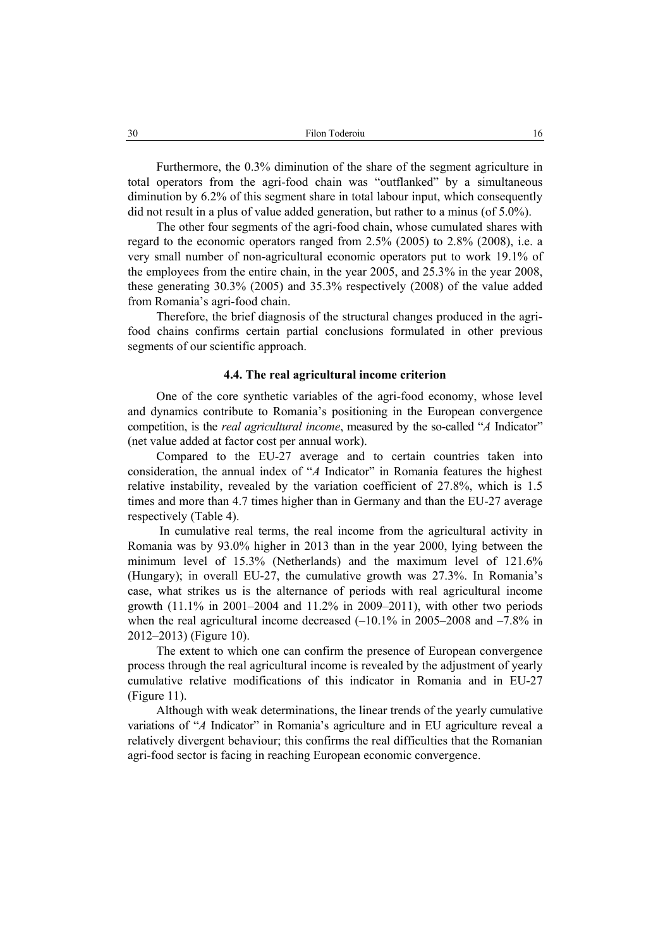Furthermore, the 0.3% diminution of the share of the segment agriculture in total operators from the agri-food chain was "outflanked" by a simultaneous diminution by 6.2% of this segment share in total labour input, which consequently did not result in a plus of value added generation, but rather to a minus (of 5.0%).

The other four segments of the agri-food chain, whose cumulated shares with regard to the economic operators ranged from 2.5% (2005) to 2.8% (2008), i.e. a very small number of non-agricultural economic operators put to work 19.1% of the employees from the entire chain, in the year 2005, and 25.3% in the year 2008, these generating 30.3% (2005) and 35.3% respectively (2008) of the value added from Romania's agri-food chain.

Therefore, the brief diagnosis of the structural changes produced in the agrifood chains confirms certain partial conclusions formulated in other previous segments of our scientific approach.

# **4.4. The real agricultural income criterion**

One of the core synthetic variables of the agri-food economy, whose level and dynamics contribute to Romania's positioning in the European convergence competition, is the *real agricultural income*, measured by the so-called "*A* Indicator" (net value added at factor cost per annual work).

Compared to the EU-27 average and to certain countries taken into consideration, the annual index of "*A* Indicator" in Romania features the highest relative instability, revealed by the variation coefficient of 27.8%, which is 1.5 times and more than 4.7 times higher than in Germany and than the EU-27 average respectively (Table 4).

 In cumulative real terms, the real income from the agricultural activity in Romania was by 93.0% higher in 2013 than in the year 2000, lying between the minimum level of 15.3% (Netherlands) and the maximum level of 121.6% (Hungary); in overall EU-27, the cumulative growth was 27.3%. In Romania's case, what strikes us is the alternance of periods with real agricultural income growth  $(11.1\%$  in 2001–2004 and  $11.2\%$  in 2009–2011), with other two periods when the real agricultural income decreased  $(-10.1\%$  in 2005–2008 and  $-7.8\%$  in 2012–2013) (Figure 10).

The extent to which one can confirm the presence of European convergence process through the real agricultural income is revealed by the adjustment of yearly cumulative relative modifications of this indicator in Romania and in EU-27 (Figure 11).

Although with weak determinations, the linear trends of the yearly cumulative variations of "*A* Indicator" in Romania's agriculture and in EU agriculture reveal a relatively divergent behaviour; this confirms the real difficulties that the Romanian agri-food sector is facing in reaching European economic convergence.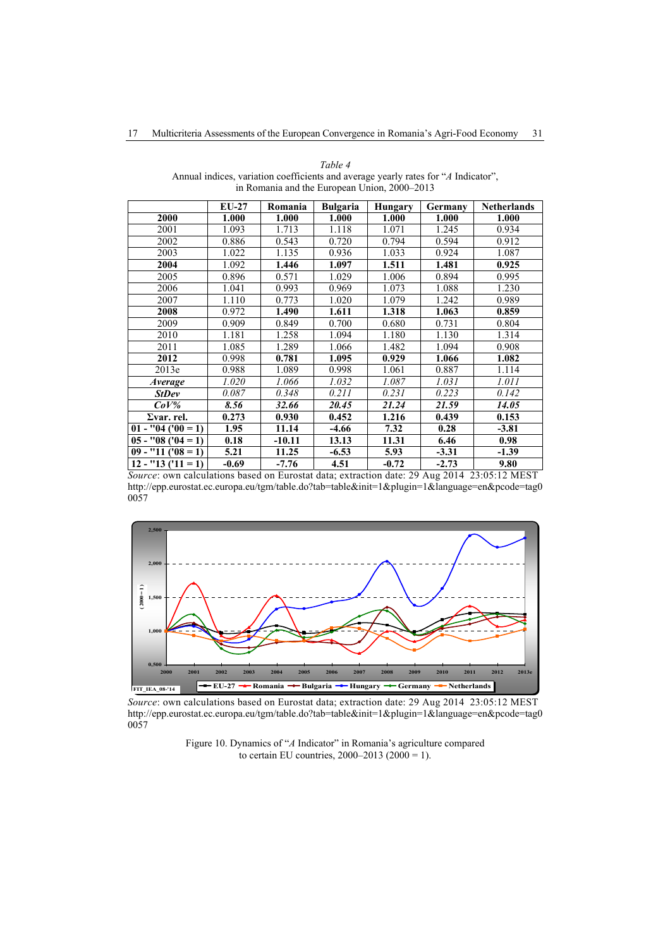|                      | $EU-27$ | Romania  | <b>Bulgaria</b> | Hungary | Germany | <b>Netherlands</b> |
|----------------------|---------|----------|-----------------|---------|---------|--------------------|
| 2000                 | 1.000   | 1.000    | 1.000           | 1.000   | 1.000   | 1.000              |
| 2001                 | 1.093   | 1.713    | 1.118           | 1.071   | 1.245   | 0.934              |
| 2002                 | 0.886   | 0.543    | 0.720           | 0.794   | 0.594   | 0.912              |
| 2003                 | 1.022   | 1.135    | 0.936           | 1.033   | 0.924   | 1.087              |
| 2004                 | 1.092   | 1.446    | 1.097           | 1.511   | 1.481   | 0.925              |
| 2005                 | 0.896   | 0.571    | 1.029           | 1.006   | 0.894   | 0.995              |
| 2006                 | 1.041   | 0.993    | 0.969           | 1.073   | 1.088   | 1.230              |
| 2007                 | 1.110   | 0.773    | 1.020           | 1.079   | 1.242   | 0.989              |
| 2008                 | 0.972   | 1.490    | 1.611           | 1.318   | 1.063   | 0.859              |
| 2009                 | 0.909   | 0.849    | 0.700           | 0.680   | 0.731   | 0.804              |
| 2010                 | 1.181   | 1.258    | 1.094           | 1.180   | 1.130   | 1.314              |
| 2011                 | 1.085   | 1.289    | 1.066           | 1.482   | 1.094   | 0.908              |
| 2012                 | 0.998   | 0.781    | 1.095           | 0.929   | 1.066   | 1.082              |
| 2013e                | 0.988   | 1.089    | 0.998           | 1.061   | 0.887   | 1.114              |
| <i>Average</i>       | 1.020   | 1.066    | 1.032           | 1.087   | 1.031   | 1.011              |
| <b>StDev</b>         | 0.087   | 0.348    | 0.211           | 0.231   | 0.223   | 0.142              |
| $CoV\%$              | 8.56    | 32.66    | 20.45           | 21.24   | 21.59   | 14.05              |
| $\Sigma$ var. rel.   | 0.273   | 0.930    | 0.452           | 1.216   | 0.439   | 0.153              |
| $01 - "04 ("00 = 1)$ | 1.95    | 11.14    | -4.66           | 7.32    | 0.28    | $-3.81$            |
| $05 - "08 (04 = 1)$  | 0.18    | $-10.11$ | 13.13           | 11.31   | 6.46    | 0.98               |
| $09 - "11('08 = 1)$  | 5.21    | 11.25    | $-6.53$         | 5.93    | $-3.31$ | $-1.39$            |
| $12 - "13 (11 = 1)$  | $-0.69$ | $-7.76$  | 4.51            | $-0.72$ | $-2.73$ | 9.80               |

*Table 4*  Annual indices, variation coefficients and average yearly rates for "*A* Indicator", in Romania and the European Union, 2000–2013

*Source*: own calculations based on Eurostat data; extraction date: 29 Aug 2014 23:05:12 MEST http://epp.eurostat.ec.europa.eu/tgm/table.do?tab=table&init=1&plugin=1&language=en&pcode=tag0 0057



*Source*: own calculations based on Eurostat data; extraction date: 29 Aug 2014 23:05:12 MEST http://epp.eurostat.ec.europa.eu/tgm/table.do?tab=table&init=1&plugin=1&language=en&pcode=tag0 0057

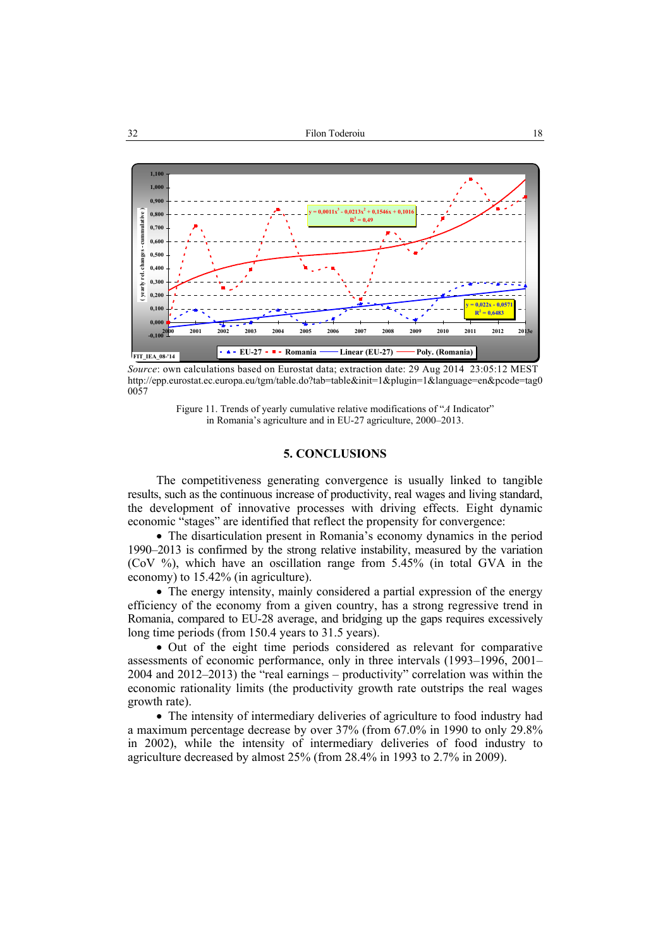

*Source*: own calculations based on Eurostat data; extraction date: 29 Aug 2014 23:05:12 MEST http://epp.eurostat.ec.europa.eu/tgm/table.do?tab=table&init=1&plugin=1&language=en&pcode=tag0 0057

Figure 11. Trends of yearly cumulative relative modifications of "*A* Indicator" in Romania's agriculture and in EU-27 agriculture, 2000–2013.

# **5. CONCLUSIONS**

The competitiveness generating convergence is usually linked to tangible results, such as the continuous increase of productivity, real wages and living standard, the development of innovative processes with driving effects. Eight dynamic economic "stages" are identified that reflect the propensity for convergence:

• The disarticulation present in Romania's economy dynamics in the period 1990–2013 is confirmed by the strong relative instability, measured by the variation (CoV %), which have an oscillation range from 5.45% (in total GVA in the economy) to 15.42% (in agriculture).

• The energy intensity, mainly considered a partial expression of the energy efficiency of the economy from a given country, has a strong regressive trend in Romania, compared to EU-28 average, and bridging up the gaps requires excessively long time periods (from 150.4 years to 31.5 years).

• Out of the eight time periods considered as relevant for comparative assessments of economic performance, only in three intervals (1993–1996, 2001– 2004 and 2012–2013) the "real earnings – productivity" correlation was within the economic rationality limits (the productivity growth rate outstrips the real wages growth rate).

• The intensity of intermediary deliveries of agriculture to food industry had a maximum percentage decrease by over 37% (from 67.0% in 1990 to only 29.8% in 2002), while the intensity of intermediary deliveries of food industry to agriculture decreased by almost 25% (from 28.4% in 1993 to 2.7% in 2009).